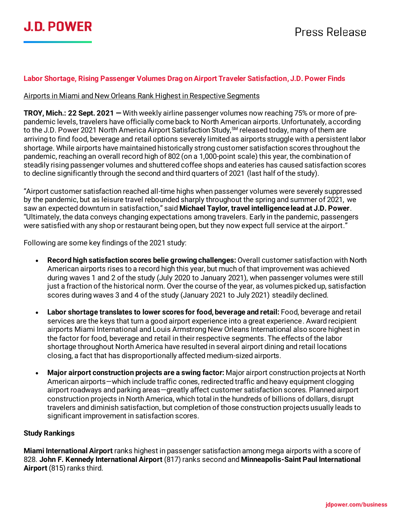

### **Labor Shortage, Rising Passenger Volumes Drag on Airport Traveler Satisfaction, J.D. Power Finds**

#### Airports in Miami and New Orleans Rank Highest in Respective Segments

**TROY, Mich.: 22 Sept. 2021 —** With weekly airline passenger volumes now reaching 75% or more of prepandemic levels, travelers have officially come back to North American airports. Unfortunately, according to the J.D. Power 2021 North America Airport Satisfaction Study, <sup>SM</sup> released today, many of them are arriving to find food, beverage and retail options severely limited as airports struggle with a persistent labor shortage. While airports have maintained historically strong customer satisfaction scores throughout the pandemic, reaching an overall record high of 802 (on a 1,000-point scale) this year, the combination of steadily rising passenger volumes and shuttered coffee shops and eateries has caused satisfaction scores to decline significantly through the second and third quarters of 2021 (last half of the study).

"Airport customer satisfaction reached all-time highs when passenger volumes were severely suppressed by the pandemic, but as leisure travel rebounded sharply throughout the spring and summer of 2021, we saw an expected downturn in satisfaction," said **Michael Taylor, travel intelligence lead at J.D. Power**. "Ultimately, the data conveys changing expectations among travelers. Early in the pandemic, passengers were satisfied with any shop or restaurant being open, but they now expect full service at the airport."

Following are some key findings of the 2021 study:

- **Record high satisfaction scores belie growing challenges:** Overall customer satisfaction with North American airports rises to a record high this year, but much of that improvement was achieved during waves 1 and 2 of the study (July 2020 to January 2021), when passenger volumes were still just a fraction of the historical norm. Over the course of the year, as volumes picked up, satisfaction scores during waves 3 and 4 of the study (January 2021 to July 2021) steadily declined.
- **Labor shortage translates to lower scores for food, beverage and retail:** Food, beverage and retail services are the keys that turn a good airport experience into a great experience. Award recipient airports Miami International and Louis Armstrong New Orleans International also score highest in the factor for food, beverage and retail in their respective segments. The effects of the labor shortage throughout North America have resulted in several airport dining and retail locations closing, a fact that has disproportionally affected medium-sized airports.
- **Major airport construction projects are a swing factor:** Major airport construction projects at North American airports—which include traffic cones, redirected traffic and heavy equipment clogging airport roadways and parking areas—greatly affect customer satisfaction scores. Planned airport construction projects in North America, which total in the hundreds of billions of dollars, disrupt travelers and diminish satisfaction, but completion of those construction projects usually leads to significant improvement in satisfaction scores.

#### **Study Rankings**

**Miami International Airport** ranks highest in passenger satisfaction among mega airports with a score of 828. **John F. Kennedy International Airport** (817) ranks second and **Minneapolis-Saint Paul International Airport** (815) ranks third.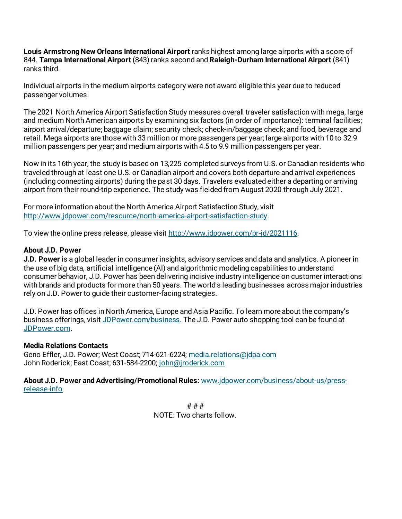**Louis Armstrong New Orleans International Airport** ranks highest among large airports with a score of 844. **Tampa International Airport** (843) ranks second and **Raleigh-Durham International Airport** (841) ranks third.

Individual airports in the medium airports category were not award eligible this year due to reduced passenger volumes.

The 2021 North America Airport Satisfaction Study measures overall traveler satisfaction with mega, large and medium North American airports by examining six factors (in order of importance): terminal facilities; airport arrival/departure; baggage claim; security check; check-in/baggage check; and food, beverage and retail. Mega airports are those with 33 million or more passengers per year; large airports with 10 to 32.9 million passengers per year; and medium airports with 4.5 to 9.9 million passengers per year.

Now in its 16th year, the study is based on 13,225 completed surveys from U.S. or Canadian residents who traveled through at least one U.S. or Canadian airport and covers both departure and arrival experiences (including connecting airports) during the past 30 days. Travelers evaluated either a departing or arriving airport from their round-trip experience. The study was fielded from August 2020 through July 2021.

For more information about the North America Airport Satisfaction Study, visit <http://www.jdpower.com/resource/north-america-airport-satisfaction-study>.

To view the online press release, please visit [http://www.jdpower.com/pr-id/2021116.](http://www.jdpower.com/pr-id/2021116)

## **About J.D. Power**

**J.D. Power** is a global leader in consumer insights, advisory services and data and analytics. A pioneer in the use of big data, artificial intelligence (AI) and algorithmic modeling capabilities to understand consumer behavior, J.D. Power has been delivering incisive industry intelligence on customer interactions with brands and products for more than 50 years. The world's leading businesses across major industries rely on J.D. Power to guide their customer-facing strategies.

J.D. Power has offices in North America, Europe and Asia Pacific. To learn more about the company's business offerings, visi[t JDPower.com/business](https://www.jdpower.com/business). The J.D. Power auto shopping tool can be found at [JDPower.com](https://www.jdpower.com/).

## **Media Relations Contacts**

Geno Effler, J.D. Power; West Coast; 714-621-6224; [media.relations@jdpa.com](mailto:media.relations@jdpa.com) John Roderick; East Coast; 631-584-2200; [john@jroderick.com](mailto:john@jroderick.com)

**About J.D. Power and Advertising/Promotional Rules:** [www.jdpower.com/business/about-us/press](http://www.jdpower.com/business/about-us/press-release-info)[release-info](http://www.jdpower.com/business/about-us/press-release-info)

> # # # NOTE: Two charts follow.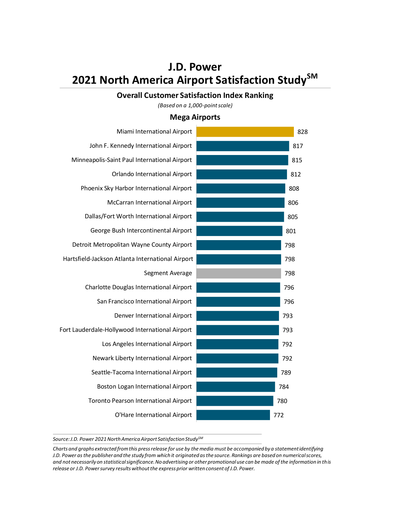# **J.D. Power 2021 North America Airport Satisfaction StudySM**

#### **Overall Customer Satisfaction Index Ranking**

*(Based on a 1,000-point scale)*

## **Mega Airports**

| Miami International Airport                      |     |     | 828 |
|--------------------------------------------------|-----|-----|-----|
| John F. Kennedy International Airport            |     |     | 817 |
| Minneapolis-Saint Paul International Airport     |     |     | 815 |
| Orlando International Airport                    |     |     | 812 |
| Phoenix Sky Harbor International Airport         |     | 808 |     |
| McCarran International Airport                   |     | 806 |     |
| Dallas/Fort Worth International Airport          |     | 805 |     |
| George Bush Intercontinental Airport             |     | 801 |     |
| Detroit Metropolitan Wayne County Airport        |     | 798 |     |
| Hartsfield-Jackson Atlanta International Airport |     | 798 |     |
| Segment Average                                  |     | 798 |     |
| Charlotte Douglas International Airport          |     | 796 |     |
| San Francisco International Airport              |     | 796 |     |
| Denver International Airport                     |     | 793 |     |
| Fort Lauderdale-Hollywood International Airport  |     | 793 |     |
| Los Angeles International Airport                |     | 792 |     |
| Newark Liberty International Airport             |     | 792 |     |
| Seattle-Tacoma International Airport             |     | 789 |     |
| Boston Logan International Airport               |     | 784 |     |
| Toronto Pearson International Airport            |     | 780 |     |
| O'Hare International Airport                     | 772 |     |     |

*Source: J.D. Power 2021 North America Airport Satisfaction StudySM*

*Charts and graphs extracted from this press release for use by the media must be accompanied by a statement identifying J.D. Power as the publisher and the study from which it originated as the source. Rankings are based on numerical scores, and not necessarily on statistical significance. No advertising or other promotional use can be made of the information in this release or J.D. Power survey results without the express prior written consent of J.D. Power.*